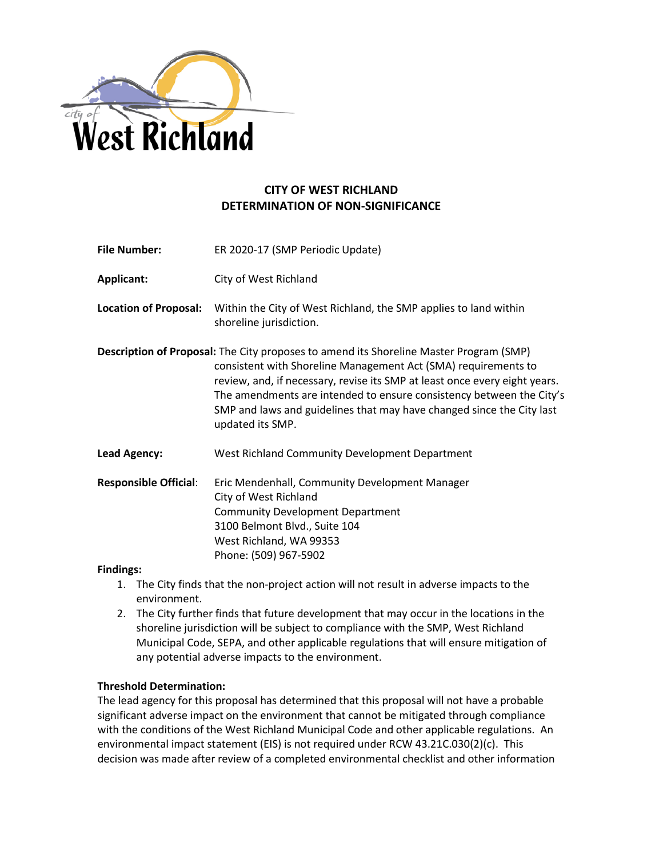

# **CITY OF WEST RICHLAND DETERMINATION OF NON-SIGNIFICANCE**

| <b>File Number:</b>          | ER 2020-17 (SMP Periodic Update)                                                                                                                                                                                                                                                                                                                                                                            |  |
|------------------------------|-------------------------------------------------------------------------------------------------------------------------------------------------------------------------------------------------------------------------------------------------------------------------------------------------------------------------------------------------------------------------------------------------------------|--|
| Applicant:                   | City of West Richland                                                                                                                                                                                                                                                                                                                                                                                       |  |
| <b>Location of Proposal:</b> | Within the City of West Richland, the SMP applies to land within<br>shoreline jurisdiction.                                                                                                                                                                                                                                                                                                                 |  |
|                              | Description of Proposal: The City proposes to amend its Shoreline Master Program (SMP)<br>consistent with Shoreline Management Act (SMA) requirements to<br>review, and, if necessary, revise its SMP at least once every eight years.<br>The amendments are intended to ensure consistency between the City's<br>SMP and laws and guidelines that may have changed since the City last<br>updated its SMP. |  |
| <b>Lead Agency:</b>          | West Richland Community Development Department                                                                                                                                                                                                                                                                                                                                                              |  |
| <b>Responsible Official:</b> | Eric Mendenhall, Community Development Manager<br>City of West Richland<br><b>Community Development Department</b><br>3100 Belmont Blvd., Suite 104<br>West Richland, WA 99353<br>Phone: (509) 967-5902                                                                                                                                                                                                     |  |

# **Findings:**

- 1. The City finds that the non-project action will not result in adverse impacts to the environment.
- 2. The City further finds that future development that may occur in the locations in the shoreline jurisdiction will be subject to compliance with the SMP, West Richland Municipal Code, SEPA, and other applicable regulations that will ensure mitigation of any potential adverse impacts to the environment.

# **Threshold Determination:**

The lead agency for this proposal has determined that this proposal will not have a probable significant adverse impact on the environment that cannot be mitigated through compliance with the conditions of the West Richland Municipal Code and other applicable regulations. An environmental impact statement (EIS) is not required under RCW 43.21C.030(2)(c). This decision was made after review of a completed environmental checklist and other information